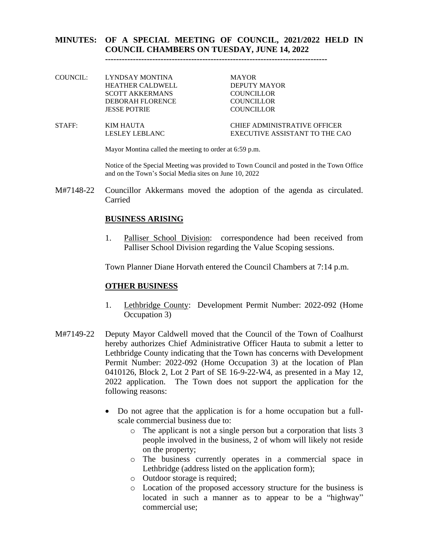#### **MINUTES: OF A SPECIAL MEETING OF COUNCIL, 2021/2022 HELD IN COUNCIL CHAMBERS ON TUESDAY, JUNE 14, 2022**

**--------------------------------------------------------------------------------**

- COUNCIL: LYNDSAY MONTINA MAYOR HEATHER CALDWELL DEPUTY MAYOR SCOTT AKKERMANS COUNCILLOR DEBORAH FLORENCE COUNCILLOR JESSE POTRIE COUNCILLOR
- STAFF: KIM HAUTA CHIEF ADMINISTRATIVE OFFICER LESLEY LEBLANC EXECUTIVE ASSISTANT TO THE CAO

Mayor Montina called the meeting to order at 6:59 p.m.

Notice of the Special Meeting was provided to Town Council and posted in the Town Office and on the Town's Social Media sites on June 10, 2022

M#7148-22 Councillor Akkermans moved the adoption of the agenda as circulated. Carried

#### **BUSINESS ARISING**

1. Palliser School Division: correspondence had been received from Palliser School Division regarding the Value Scoping sessions.

Town Planner Diane Horvath entered the Council Chambers at 7:14 p.m.

#### **OTHER BUSINESS**

- 1. Lethbridge County: Development Permit Number: 2022-092 (Home Occupation 3)
- M#7149-22 Deputy Mayor Caldwell moved that the Council of the Town of Coalhurst hereby authorizes Chief Administrative Officer Hauta to submit a letter to Lethbridge County indicating that the Town has concerns with Development Permit Number: 2022-092 (Home Occupation 3) at the location of Plan 0410126, Block 2, Lot 2 Part of SE 16-9-22-W4, as presented in a May 12, 2022 application. The Town does not support the application for the following reasons:
	- Do not agree that the application is for a home occupation but a fullscale commercial business due to:
		- o The applicant is not a single person but a corporation that lists 3 people involved in the business, 2 of whom will likely not reside on the property;
		- o The business currently operates in a commercial space in Lethbridge (address listed on the application form);
		- o Outdoor storage is required;
		- o Location of the proposed accessory structure for the business is located in such a manner as to appear to be a "highway" commercial use;